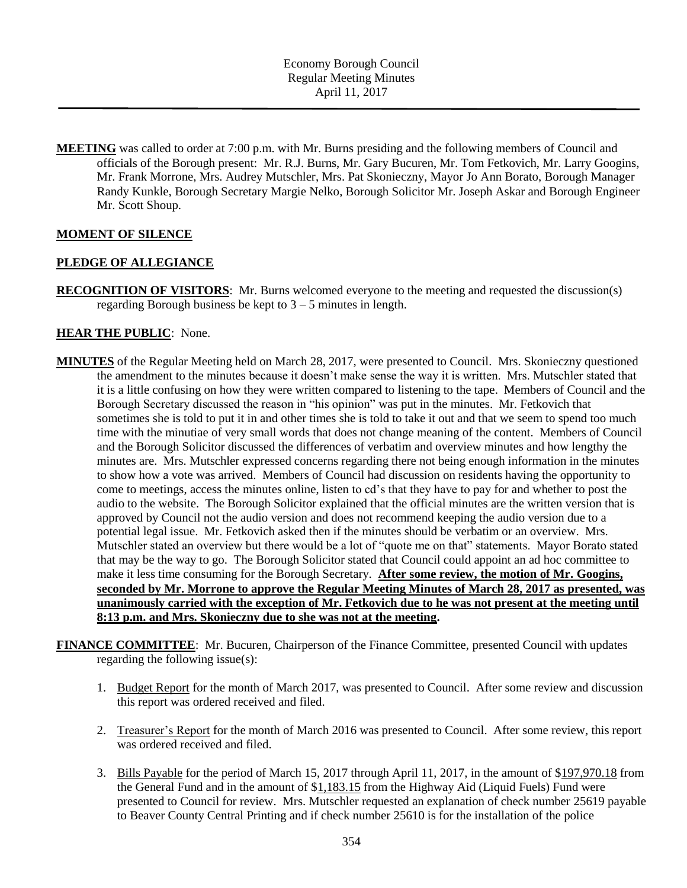**MEETING** was called to order at 7:00 p.m. with Mr. Burns presiding and the following members of Council and officials of the Borough present: Mr. R.J. Burns, Mr. Gary Bucuren, Mr. Tom Fetkovich, Mr. Larry Googins, Mr. Frank Morrone, Mrs. Audrey Mutschler, Mrs. Pat Skonieczny, Mayor Jo Ann Borato, Borough Manager Randy Kunkle, Borough Secretary Margie Nelko, Borough Solicitor Mr. Joseph Askar and Borough Engineer Mr. Scott Shoup.

## **MOMENT OF SILENCE**

### **PLEDGE OF ALLEGIANCE**

**RECOGNITION OF VISITORS**: Mr. Burns welcomed everyone to the meeting and requested the discussion(s) regarding Borough business be kept to  $3 - 5$  minutes in length.

## **HEAR THE PUBLIC**: None.

- **MINUTES** of the Regular Meeting held on March 28, 2017, were presented to Council. Mrs. Skonieczny questioned the amendment to the minutes because it doesn't make sense the way it is written. Mrs. Mutschler stated that it is a little confusing on how they were written compared to listening to the tape. Members of Council and the Borough Secretary discussed the reason in "his opinion" was put in the minutes. Mr. Fetkovich that sometimes she is told to put it in and other times she is told to take it out and that we seem to spend too much time with the minutiae of very small words that does not change meaning of the content. Members of Council and the Borough Solicitor discussed the differences of verbatim and overview minutes and how lengthy the minutes are. Mrs. Mutschler expressed concerns regarding there not being enough information in the minutes to show how a vote was arrived. Members of Council had discussion on residents having the opportunity to come to meetings, access the minutes online, listen to cd's that they have to pay for and whether to post the audio to the website. The Borough Solicitor explained that the official minutes are the written version that is approved by Council not the audio version and does not recommend keeping the audio version due to a potential legal issue. Mr. Fetkovich asked then if the minutes should be verbatim or an overview. Mrs. Mutschler stated an overview but there would be a lot of "quote me on that" statements. Mayor Borato stated that may be the way to go. The Borough Solicitor stated that Council could appoint an ad hoc committee to make it less time consuming for the Borough Secretary. **After some review, the motion of Mr. Googins, seconded by Mr. Morrone to approve the Regular Meeting Minutes of March 28, 2017 as presented, was unanimously carried with the exception of Mr. Fetkovich due to he was not present at the meeting until 8:13 p.m. and Mrs. Skonieczny due to she was not at the meeting.**
- **FINANCE COMMITTEE**: Mr. Bucuren, Chairperson of the Finance Committee, presented Council with updates regarding the following issue(s):
	- 1. Budget Report for the month of March 2017, was presented to Council. After some review and discussion this report was ordered received and filed.
	- 2. Treasurer's Report for the month of March 2016 was presented to Council. After some review, this report was ordered received and filed.
	- 3. Bills Payable for the period of March 15, 2017 through April 11, 2017, in the amount of \$197,970.18 from the General Fund and in the amount of \$1,183.15 from the Highway Aid (Liquid Fuels) Fund were presented to Council for review. Mrs. Mutschler requested an explanation of check number 25619 payable to Beaver County Central Printing and if check number 25610 is for the installation of the police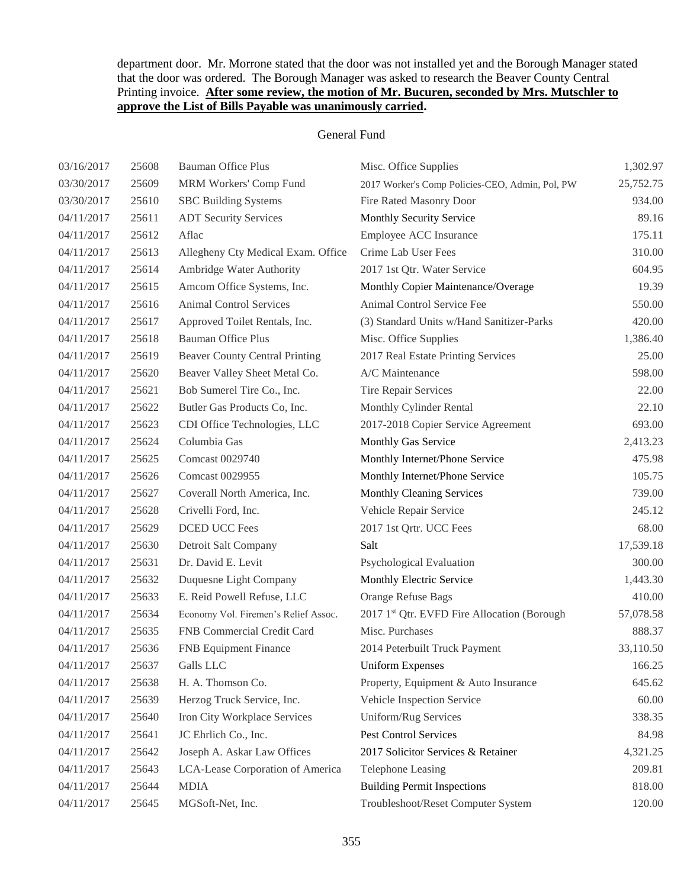## department door. Mr. Morrone stated that the door was not installed yet and the Borough Manager stated that the door was ordered. The Borough Manager was asked to research the Beaver County Central Printing invoice. **After some review, the motion of Mr. Bucuren, seconded by Mrs. Mutschler to approve the List of Bills Payable was unanimously carried.**

### General Fund

| 03/16/2017 | 25608 | <b>Bauman Office Plus</b>             | Misc. Office Supplies                           | 1,302.97  |
|------------|-------|---------------------------------------|-------------------------------------------------|-----------|
| 03/30/2017 | 25609 | MRM Workers' Comp Fund                | 2017 Worker's Comp Policies-CEO, Admin, Pol, PW | 25,752.75 |
| 03/30/2017 | 25610 | <b>SBC</b> Building Systems           | Fire Rated Masonry Door                         | 934.00    |
| 04/11/2017 | 25611 | <b>ADT Security Services</b>          | Monthly Security Service                        | 89.16     |
| 04/11/2017 | 25612 | Aflac                                 | Employee ACC Insurance                          | 175.11    |
| 04/11/2017 | 25613 | Allegheny Cty Medical Exam. Office    | Crime Lab User Fees                             | 310.00    |
| 04/11/2017 | 25614 | Ambridge Water Authority              | 2017 1st Qtr. Water Service                     | 604.95    |
| 04/11/2017 | 25615 | Amcom Office Systems, Inc.            | Monthly Copier Maintenance/Overage              | 19.39     |
| 04/11/2017 | 25616 | <b>Animal Control Services</b>        | Animal Control Service Fee                      | 550.00    |
| 04/11/2017 | 25617 | Approved Toilet Rentals, Inc.         | (3) Standard Units w/Hand Sanitizer-Parks       | 420.00    |
| 04/11/2017 | 25618 | <b>Bauman Office Plus</b>             | Misc. Office Supplies                           | 1,386.40  |
| 04/11/2017 | 25619 | <b>Beaver County Central Printing</b> | 2017 Real Estate Printing Services              | 25.00     |
| 04/11/2017 | 25620 | Beaver Valley Sheet Metal Co.         | A/C Maintenance                                 | 598.00    |
| 04/11/2017 | 25621 | Bob Sumerel Tire Co., Inc.            | Tire Repair Services                            | 22.00     |
| 04/11/2017 | 25622 | Butler Gas Products Co, Inc.          | Monthly Cylinder Rental                         | 22.10     |
| 04/11/2017 | 25623 | CDI Office Technologies, LLC          | 2017-2018 Copier Service Agreement              | 693.00    |
| 04/11/2017 | 25624 | Columbia Gas                          | Monthly Gas Service                             | 2,413.23  |
| 04/11/2017 | 25625 | <b>Comcast 0029740</b>                | Monthly Internet/Phone Service                  | 475.98    |
| 04/11/2017 | 25626 | Comcast 0029955                       | Monthly Internet/Phone Service                  | 105.75    |
| 04/11/2017 | 25627 | Coverall North America, Inc.          | <b>Monthly Cleaning Services</b>                | 739.00    |
| 04/11/2017 | 25628 | Crivelli Ford, Inc.                   | Vehicle Repair Service                          | 245.12    |
| 04/11/2017 | 25629 | <b>DCED UCC Fees</b>                  | 2017 1st Qrtr. UCC Fees                         | 68.00     |
| 04/11/2017 | 25630 | Detroit Salt Company                  | Salt                                            | 17,539.18 |
| 04/11/2017 | 25631 | Dr. David E. Levit                    | Psychological Evaluation                        | 300.00    |
| 04/11/2017 | 25632 | Duquesne Light Company                | Monthly Electric Service                        | 1,443.30  |
| 04/11/2017 | 25633 | E. Reid Powell Refuse, LLC            | <b>Orange Refuse Bags</b>                       | 410.00    |
| 04/11/2017 | 25634 | Economy Vol. Firemen's Relief Assoc.  | 2017 1st Qtr. EVFD Fire Allocation (Borough     | 57,078.58 |
| 04/11/2017 | 25635 | FNB Commercial Credit Card            | Misc. Purchases                                 | 888.37    |
| 04/11/2017 | 25636 | <b>FNB</b> Equipment Finance          | 2014 Peterbuilt Truck Payment                   | 33,110.50 |
| 04/11/2017 | 25637 | Galls LLC                             | <b>Uniform Expenses</b>                         | 166.25    |
| 04/11/2017 | 25638 | H. A. Thomson Co.                     | Property, Equipment & Auto Insurance            | 645.62    |
| 04/11/2017 | 25639 | Herzog Truck Service, Inc.            | Vehicle Inspection Service                      | 60.00     |
| 04/11/2017 | 25640 | Iron City Workplace Services          | Uniform/Rug Services                            | 338.35    |
| 04/11/2017 | 25641 | JC Ehrlich Co., Inc.                  | <b>Pest Control Services</b>                    | 84.98     |
| 04/11/2017 | 25642 | Joseph A. Askar Law Offices           | 2017 Solicitor Services & Retainer              | 4,321.25  |
| 04/11/2017 | 25643 | LCA-Lease Corporation of America      | <b>Telephone Leasing</b>                        | 209.81    |
| 04/11/2017 | 25644 | <b>MDIA</b>                           | <b>Building Permit Inspections</b>              | 818.00    |
| 04/11/2017 | 25645 | MGSoft-Net, Inc.                      | Troubleshoot/Reset Computer System              | 120.00    |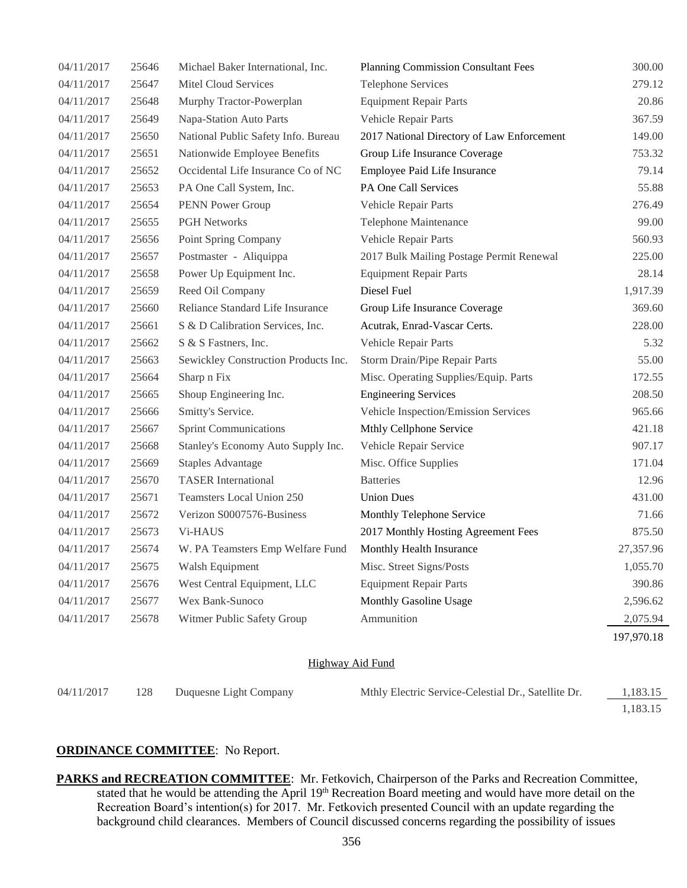| 04/11/2017 | 25646 | Michael Baker International, Inc.    | <b>Planning Commission Consultant Fees</b> | 300.00     |
|------------|-------|--------------------------------------|--------------------------------------------|------------|
| 04/11/2017 | 25647 | <b>Mitel Cloud Services</b>          | <b>Telephone Services</b>                  | 279.12     |
| 04/11/2017 | 25648 | Murphy Tractor-Powerplan             | <b>Equipment Repair Parts</b>              | 20.86      |
| 04/11/2017 | 25649 | Napa-Station Auto Parts              | Vehicle Repair Parts                       | 367.59     |
| 04/11/2017 | 25650 | National Public Safety Info. Bureau  | 2017 National Directory of Law Enforcement | 149.00     |
| 04/11/2017 | 25651 | Nationwide Employee Benefits         | Group Life Insurance Coverage              | 753.32     |
| 04/11/2017 | 25652 | Occidental Life Insurance Co of NC   | Employee Paid Life Insurance               | 79.14      |
| 04/11/2017 | 25653 | PA One Call System, Inc.             | PA One Call Services                       | 55.88      |
| 04/11/2017 | 25654 | PENN Power Group                     | Vehicle Repair Parts                       | 276.49     |
| 04/11/2017 | 25655 | <b>PGH Networks</b>                  | Telephone Maintenance                      | 99.00      |
| 04/11/2017 | 25656 | Point Spring Company                 | Vehicle Repair Parts                       | 560.93     |
| 04/11/2017 | 25657 | Postmaster - Aliquippa               | 2017 Bulk Mailing Postage Permit Renewal   | 225.00     |
| 04/11/2017 | 25658 | Power Up Equipment Inc.              | <b>Equipment Repair Parts</b>              | 28.14      |
| 04/11/2017 | 25659 | Reed Oil Company                     | Diesel Fuel                                | 1,917.39   |
| 04/11/2017 | 25660 | Reliance Standard Life Insurance     | Group Life Insurance Coverage              | 369.60     |
| 04/11/2017 | 25661 | S & D Calibration Services, Inc.     | Acutrak, Enrad-Vascar Certs.               | 228.00     |
| 04/11/2017 | 25662 | S & S Fastners, Inc.                 | Vehicle Repair Parts                       | 5.32       |
| 04/11/2017 | 25663 | Sewickley Construction Products Inc. | Storm Drain/Pipe Repair Parts              | 55.00      |
| 04/11/2017 | 25664 | Sharp n Fix                          | Misc. Operating Supplies/Equip. Parts      | 172.55     |
| 04/11/2017 | 25665 | Shoup Engineering Inc.               | <b>Engineering Services</b>                | 208.50     |
| 04/11/2017 | 25666 | Smitty's Service.                    | Vehicle Inspection/Emission Services       | 965.66     |
| 04/11/2017 | 25667 | <b>Sprint Communications</b>         | Mthly Cellphone Service                    | 421.18     |
| 04/11/2017 | 25668 | Stanley's Economy Auto Supply Inc.   | Vehicle Repair Service                     | 907.17     |
| 04/11/2017 | 25669 | <b>Staples Advantage</b>             | Misc. Office Supplies                      | 171.04     |
| 04/11/2017 | 25670 | <b>TASER</b> International           | <b>Batteries</b>                           | 12.96      |
| 04/11/2017 | 25671 | Teamsters Local Union 250            | <b>Union Dues</b>                          | 431.00     |
| 04/11/2017 | 25672 | Verizon S0007576-Business            | Monthly Telephone Service                  | 71.66      |
| 04/11/2017 | 25673 | Vi-HAUS                              | 2017 Monthly Hosting Agreement Fees        | 875.50     |
| 04/11/2017 | 25674 | W. PA Teamsters Emp Welfare Fund     | Monthly Health Insurance                   | 27,357.96  |
| 04/11/2017 | 25675 | Walsh Equipment                      | Misc. Street Signs/Posts                   | 1,055.70   |
| 04/11/2017 | 25676 | West Central Equipment, LLC          | <b>Equipment Repair Parts</b>              | 390.86     |
| 04/11/2017 | 25677 | Wex Bank-Sunoco                      | Monthly Gasoline Usage                     | 2,596.62   |
| 04/11/2017 | 25678 | Witmer Public Safety Group           | Ammunition                                 | 2,075.94   |
|            |       |                                      |                                            | 197,970.18 |
|            |       |                                      |                                            |            |

### Highway Aid Fund

| 04/11/2017 | 128 | Duquesne Light Company | Mthly Electric Service-Celestial Dr., Satellite Dr. | 1,183.15 |
|------------|-----|------------------------|-----------------------------------------------------|----------|
|            |     |                        |                                                     | 1.183.15 |

# **ORDINANCE COMMITTEE**: No Report.

**PARKS and RECREATION COMMITTEE:** Mr. Fetkovich, Chairperson of the Parks and Recreation Committee, stated that he would be attending the April 19<sup>th</sup> Recreation Board meeting and would have more detail on the Recreation Board's intention(s) for 2017. Mr. Fetkovich presented Council with an update regarding the background child clearances. Members of Council discussed concerns regarding the possibility of issues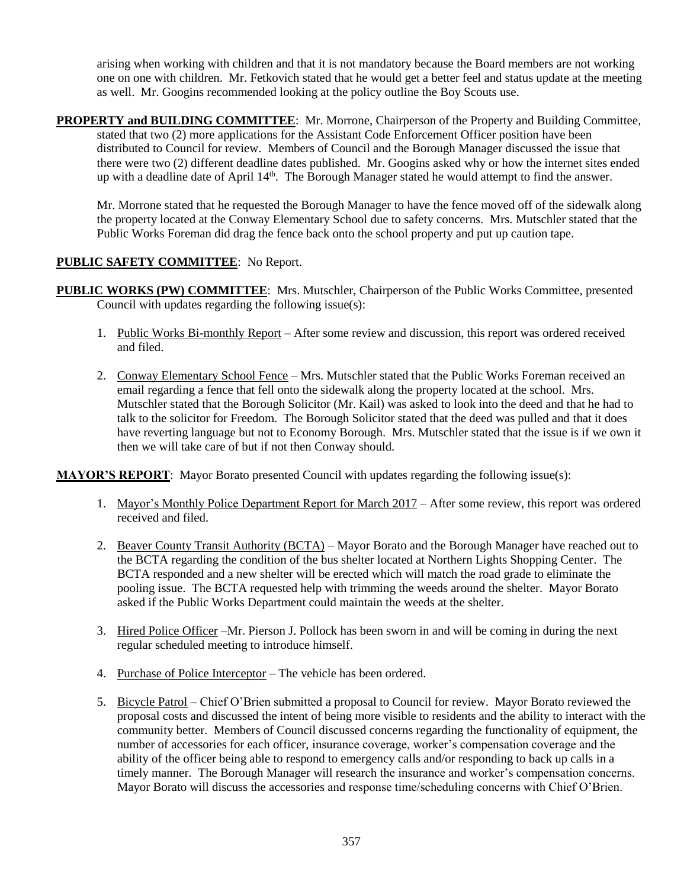arising when working with children and that it is not mandatory because the Board members are not working one on one with children. Mr. Fetkovich stated that he would get a better feel and status update at the meeting as well. Mr. Googins recommended looking at the policy outline the Boy Scouts use.

**PROPERTY and BUILDING COMMITTEE**: Mr. Morrone, Chairperson of the Property and Building Committee, stated that two (2) more applications for the Assistant Code Enforcement Officer position have been distributed to Council for review. Members of Council and the Borough Manager discussed the issue that there were two (2) different deadline dates published. Mr. Googins asked why or how the internet sites ended up with a deadline date of April 14<sup>th</sup>. The Borough Manager stated he would attempt to find the answer.

Mr. Morrone stated that he requested the Borough Manager to have the fence moved off of the sidewalk along the property located at the Conway Elementary School due to safety concerns. Mrs. Mutschler stated that the Public Works Foreman did drag the fence back onto the school property and put up caution tape.

# **PUBLIC SAFETY COMMITTEE**: No Report.

- **PUBLIC WORKS (PW) COMMITTEE**: Mrs. Mutschler, Chairperson of the Public Works Committee, presented Council with updates regarding the following issue(s):
	- 1. Public Works Bi-monthly Report After some review and discussion, this report was ordered received and filed.
	- 2. Conway Elementary School Fence Mrs. Mutschler stated that the Public Works Foreman received an email regarding a fence that fell onto the sidewalk along the property located at the school. Mrs. Mutschler stated that the Borough Solicitor (Mr. Kail) was asked to look into the deed and that he had to talk to the solicitor for Freedom. The Borough Solicitor stated that the deed was pulled and that it does have reverting language but not to Economy Borough. Mrs. Mutschler stated that the issue is if we own it then we will take care of but if not then Conway should.

**MAYOR'S REPORT**: Mayor Borato presented Council with updates regarding the following issue(s):

- 1. Mayor's Monthly Police Department Report for March 2017 After some review, this report was ordered received and filed.
- 2. Beaver County Transit Authority (BCTA) Mayor Borato and the Borough Manager have reached out to the BCTA regarding the condition of the bus shelter located at Northern Lights Shopping Center. The BCTA responded and a new shelter will be erected which will match the road grade to eliminate the pooling issue. The BCTA requested help with trimming the weeds around the shelter. Mayor Borato asked if the Public Works Department could maintain the weeds at the shelter.
- 3. Hired Police Officer –Mr. Pierson J. Pollock has been sworn in and will be coming in during the next regular scheduled meeting to introduce himself.
- 4. Purchase of Police Interceptor The vehicle has been ordered.
- 5. Bicycle Patrol Chief O'Brien submitted a proposal to Council for review. Mayor Borato reviewed the proposal costs and discussed the intent of being more visible to residents and the ability to interact with the community better. Members of Council discussed concerns regarding the functionality of equipment, the number of accessories for each officer, insurance coverage, worker's compensation coverage and the ability of the officer being able to respond to emergency calls and/or responding to back up calls in a timely manner. The Borough Manager will research the insurance and worker's compensation concerns. Mayor Borato will discuss the accessories and response time/scheduling concerns with Chief O'Brien.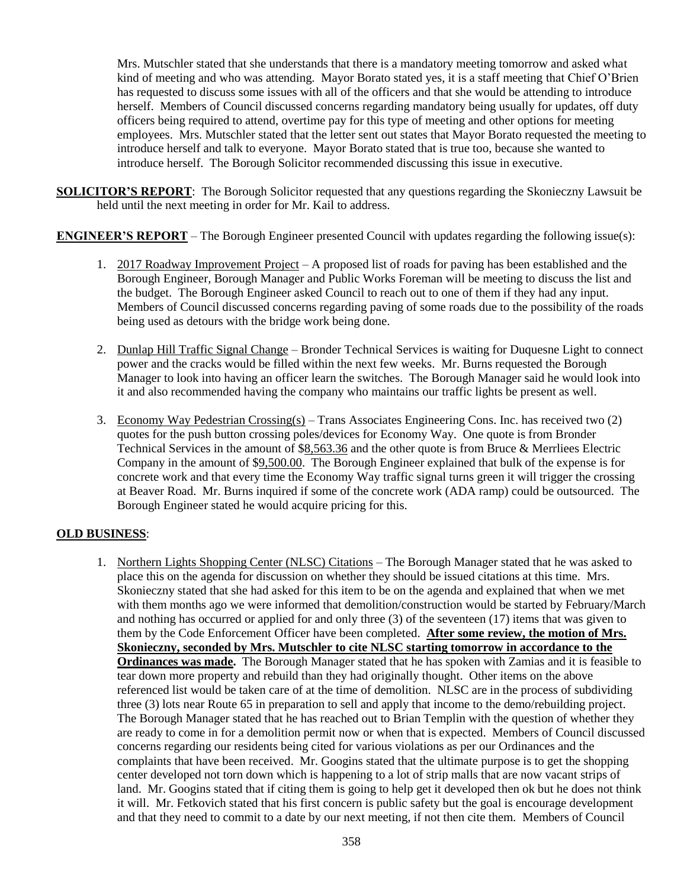Mrs. Mutschler stated that she understands that there is a mandatory meeting tomorrow and asked what kind of meeting and who was attending. Mayor Borato stated yes, it is a staff meeting that Chief O'Brien has requested to discuss some issues with all of the officers and that she would be attending to introduce herself. Members of Council discussed concerns regarding mandatory being usually for updates, off duty officers being required to attend, overtime pay for this type of meeting and other options for meeting employees. Mrs. Mutschler stated that the letter sent out states that Mayor Borato requested the meeting to introduce herself and talk to everyone. Mayor Borato stated that is true too, because she wanted to introduce herself. The Borough Solicitor recommended discussing this issue in executive.

**SOLICITOR'S REPORT**: The Borough Solicitor requested that any questions regarding the Skonieczny Lawsuit be held until the next meeting in order for Mr. Kail to address.

**ENGINEER'S REPORT** – The Borough Engineer presented Council with updates regarding the following issue(s):

- 1. 2017 Roadway Improvement Project A proposed list of roads for paving has been established and the Borough Engineer, Borough Manager and Public Works Foreman will be meeting to discuss the list and the budget. The Borough Engineer asked Council to reach out to one of them if they had any input. Members of Council discussed concerns regarding paving of some roads due to the possibility of the roads being used as detours with the bridge work being done.
- 2. Dunlap Hill Traffic Signal Change Bronder Technical Services is waiting for Duquesne Light to connect power and the cracks would be filled within the next few weeks. Mr. Burns requested the Borough Manager to look into having an officer learn the switches. The Borough Manager said he would look into it and also recommended having the company who maintains our traffic lights be present as well.
- 3. Economy Way Pedestrian Crossing(s) Trans Associates Engineering Cons. Inc. has received two (2) quotes for the push button crossing poles/devices for Economy Way. One quote is from Bronder Technical Services in the amount of \$8,563.36 and the other quote is from Bruce & Merrliees Electric Company in the amount of \$9,500.00. The Borough Engineer explained that bulk of the expense is for concrete work and that every time the Economy Way traffic signal turns green it will trigger the crossing at Beaver Road. Mr. Burns inquired if some of the concrete work (ADA ramp) could be outsourced. The Borough Engineer stated he would acquire pricing for this.

# **OLD BUSINESS**:

1. Northern Lights Shopping Center (NLSC) Citations – The Borough Manager stated that he was asked to place this on the agenda for discussion on whether they should be issued citations at this time. Mrs. Skonieczny stated that she had asked for this item to be on the agenda and explained that when we met with them months ago we were informed that demolition/construction would be started by February/March and nothing has occurred or applied for and only three (3) of the seventeen (17) items that was given to them by the Code Enforcement Officer have been completed. **After some review, the motion of Mrs. Skonieczny, seconded by Mrs. Mutschler to cite NLSC starting tomorrow in accordance to the Ordinances was made.** The Borough Manager stated that he has spoken with Zamias and it is feasible to tear down more property and rebuild than they had originally thought. Other items on the above referenced list would be taken care of at the time of demolition. NLSC are in the process of subdividing three (3) lots near Route 65 in preparation to sell and apply that income to the demo/rebuilding project. The Borough Manager stated that he has reached out to Brian Templin with the question of whether they are ready to come in for a demolition permit now or when that is expected. Members of Council discussed concerns regarding our residents being cited for various violations as per our Ordinances and the complaints that have been received. Mr. Googins stated that the ultimate purpose is to get the shopping center developed not torn down which is happening to a lot of strip malls that are now vacant strips of land. Mr. Googins stated that if citing them is going to help get it developed then ok but he does not think it will. Mr. Fetkovich stated that his first concern is public safety but the goal is encourage development and that they need to commit to a date by our next meeting, if not then cite them. Members of Council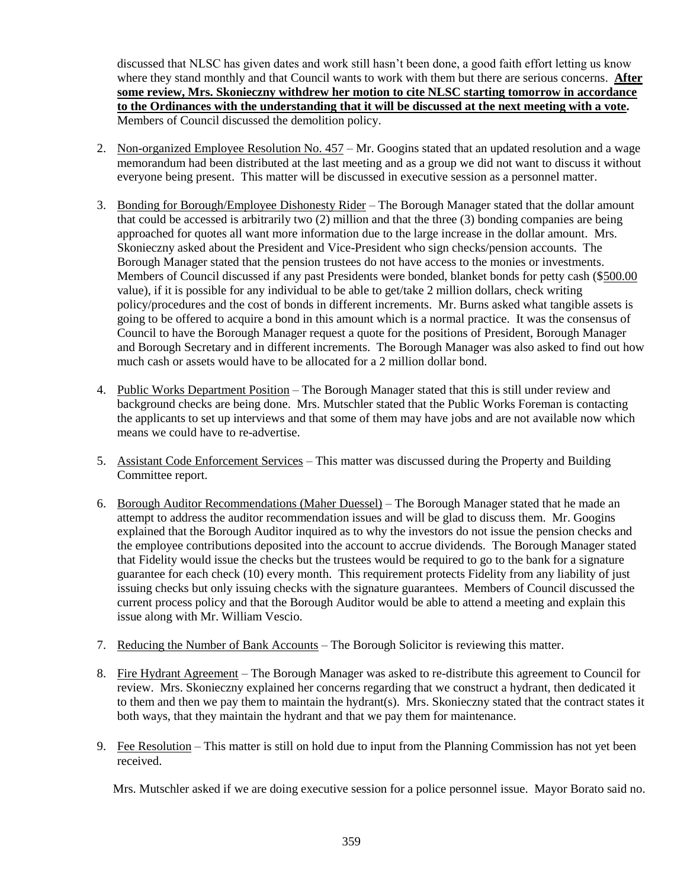discussed that NLSC has given dates and work still hasn't been done, a good faith effort letting us know where they stand monthly and that Council wants to work with them but there are serious concerns. **After some review, Mrs. Skonieczny withdrew her motion to cite NLSC starting tomorrow in accordance to the Ordinances with the understanding that it will be discussed at the next meeting with a vote.** Members of Council discussed the demolition policy.

- 2. Non-organized Employee Resolution No. 457 Mr. Googins stated that an updated resolution and a wage memorandum had been distributed at the last meeting and as a group we did not want to discuss it without everyone being present. This matter will be discussed in executive session as a personnel matter.
- 3. Bonding for Borough/Employee Dishonesty Rider The Borough Manager stated that the dollar amount that could be accessed is arbitrarily two (2) million and that the three (3) bonding companies are being approached for quotes all want more information due to the large increase in the dollar amount. Mrs. Skonieczny asked about the President and Vice-President who sign checks/pension accounts. The Borough Manager stated that the pension trustees do not have access to the monies or investments. Members of Council discussed if any past Presidents were bonded, blanket bonds for petty cash (\$500.00 value), if it is possible for any individual to be able to get/take 2 million dollars, check writing policy/procedures and the cost of bonds in different increments. Mr. Burns asked what tangible assets is going to be offered to acquire a bond in this amount which is a normal practice. It was the consensus of Council to have the Borough Manager request a quote for the positions of President, Borough Manager and Borough Secretary and in different increments. The Borough Manager was also asked to find out how much cash or assets would have to be allocated for a 2 million dollar bond.
- 4. Public Works Department Position The Borough Manager stated that this is still under review and background checks are being done. Mrs. Mutschler stated that the Public Works Foreman is contacting the applicants to set up interviews and that some of them may have jobs and are not available now which means we could have to re-advertise.
- 5. Assistant Code Enforcement Services This matter was discussed during the Property and Building Committee report.
- 6. Borough Auditor Recommendations (Maher Duessel) The Borough Manager stated that he made an attempt to address the auditor recommendation issues and will be glad to discuss them. Mr. Googins explained that the Borough Auditor inquired as to why the investors do not issue the pension checks and the employee contributions deposited into the account to accrue dividends. The Borough Manager stated that Fidelity would issue the checks but the trustees would be required to go to the bank for a signature guarantee for each check (10) every month. This requirement protects Fidelity from any liability of just issuing checks but only issuing checks with the signature guarantees. Members of Council discussed the current process policy and that the Borough Auditor would be able to attend a meeting and explain this issue along with Mr. William Vescio.
- 7. Reducing the Number of Bank Accounts The Borough Solicitor is reviewing this matter.
- 8. Fire Hydrant Agreement The Borough Manager was asked to re-distribute this agreement to Council for review. Mrs. Skonieczny explained her concerns regarding that we construct a hydrant, then dedicated it to them and then we pay them to maintain the hydrant(s). Mrs. Skonieczny stated that the contract states it both ways, that they maintain the hydrant and that we pay them for maintenance.
- 9. Fee Resolution This matter is still on hold due to input from the Planning Commission has not yet been received.

Mrs. Mutschler asked if we are doing executive session for a police personnel issue. Mayor Borato said no.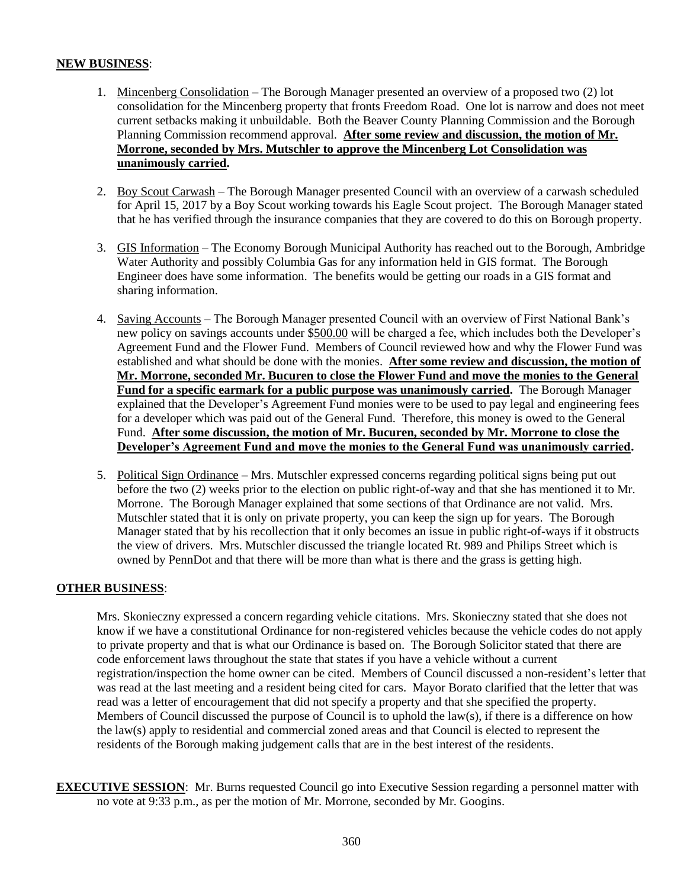## **NEW BUSINESS**:

- 1. Mincenberg Consolidation The Borough Manager presented an overview of a proposed two (2) lot consolidation for the Mincenberg property that fronts Freedom Road. One lot is narrow and does not meet current setbacks making it unbuildable. Both the Beaver County Planning Commission and the Borough Planning Commission recommend approval. **After some review and discussion, the motion of Mr. Morrone, seconded by Mrs. Mutschler to approve the Mincenberg Lot Consolidation was unanimously carried.**
- 2. Boy Scout Carwash The Borough Manager presented Council with an overview of a carwash scheduled for April 15, 2017 by a Boy Scout working towards his Eagle Scout project. The Borough Manager stated that he has verified through the insurance companies that they are covered to do this on Borough property.
- 3. GIS Information The Economy Borough Municipal Authority has reached out to the Borough, Ambridge Water Authority and possibly Columbia Gas for any information held in GIS format. The Borough Engineer does have some information. The benefits would be getting our roads in a GIS format and sharing information.
- 4. Saving Accounts The Borough Manager presented Council with an overview of First National Bank's new policy on savings accounts under \$500.00 will be charged a fee, which includes both the Developer's Agreement Fund and the Flower Fund. Members of Council reviewed how and why the Flower Fund was established and what should be done with the monies. **After some review and discussion, the motion of Mr. Morrone, seconded Mr. Bucuren to close the Flower Fund and move the monies to the General Fund for a specific earmark for a public purpose was unanimously carried.** The Borough Manager explained that the Developer's Agreement Fund monies were to be used to pay legal and engineering fees for a developer which was paid out of the General Fund. Therefore, this money is owed to the General Fund. **After some discussion, the motion of Mr. Bucuren, seconded by Mr. Morrone to close the Developer's Agreement Fund and move the monies to the General Fund was unanimously carried.**
- 5. Political Sign Ordinance Mrs. Mutschler expressed concerns regarding political signs being put out before the two (2) weeks prior to the election on public right-of-way and that she has mentioned it to Mr. Morrone. The Borough Manager explained that some sections of that Ordinance are not valid. Mrs. Mutschler stated that it is only on private property, you can keep the sign up for years. The Borough Manager stated that by his recollection that it only becomes an issue in public right-of-ways if it obstructs the view of drivers. Mrs. Mutschler discussed the triangle located Rt. 989 and Philips Street which is owned by PennDot and that there will be more than what is there and the grass is getting high.

### **OTHER BUSINESS**:

Mrs. Skonieczny expressed a concern regarding vehicle citations. Mrs. Skonieczny stated that she does not know if we have a constitutional Ordinance for non-registered vehicles because the vehicle codes do not apply to private property and that is what our Ordinance is based on. The Borough Solicitor stated that there are code enforcement laws throughout the state that states if you have a vehicle without a current registration/inspection the home owner can be cited. Members of Council discussed a non-resident's letter that was read at the last meeting and a resident being cited for cars. Mayor Borato clarified that the letter that was read was a letter of encouragement that did not specify a property and that she specified the property. Members of Council discussed the purpose of Council is to uphold the law(s), if there is a difference on how the law(s) apply to residential and commercial zoned areas and that Council is elected to represent the residents of the Borough making judgement calls that are in the best interest of the residents.

**EXECUTIVE SESSION:** Mr. Burns requested Council go into Executive Session regarding a personnel matter with no vote at 9:33 p.m., as per the motion of Mr. Morrone, seconded by Mr. Googins.